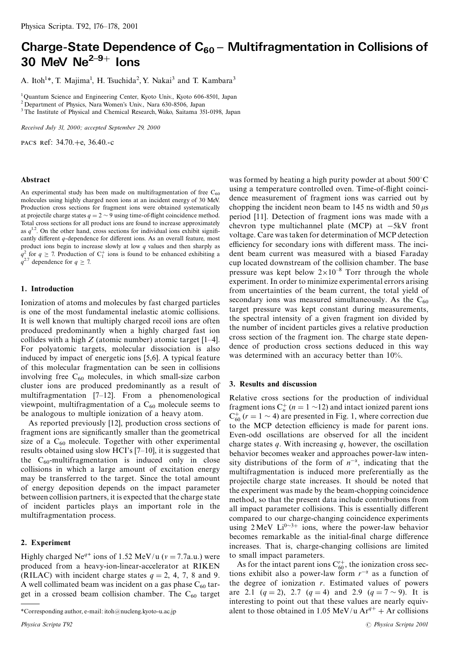# Charge-State Dependence of  $C_{60}$  – Multifragmentation in Collisions of 30 MeV  $Ne^{2-9+}$  lons

A. Itoh<sup>1\*</sup>, T. Majima<sup>1</sup>, H. Tsuchida<sup>2</sup>, Y. Nakai<sup>3</sup> and T. Kambara<sup>3</sup>

<sup>1</sup>Quantum Science and Engineering Center, Kyoto Univ., Kyoto 606-8501, Japan

<sup>2</sup> Department of Physics, Nara Women's Univ., Nara 630-8506, Japan

<sup>3</sup> The Institute of Physical and Chemical Research, Wako, Saitama 351-0198, Japan

Received July 31, 2000; accepted September 29, 2000

PACS Ref: 34.70.+e, 36.40.-c

#### Abstract

An experimental study has been made on multifragmentation of free  $C_{60}$ molecules using highly charged neon ions at an incident energy of 30 MeV. Production cross sections for fragment ions were obtained systematically at projectile charge states  $q = 2 \sim 9$  using time-of-flight coincidence method. Total cross sections for all product ions are found to increase approximately as  $q^{1.2}$ . On the other hand, cross sections for individual ions exhibit significantly different  $q$ -dependence for different ions. As an overall feature, most product ions begin to increase slowly at low  $q$  values and then sharply as  $q^2$  for  $q \ge 7$ . Production of  $C_1^+$  ions is found to be enhanced exhibiting a  $q^{2.7}$  dependence for  $q \ge 7$ .

## 1. Introduction

Ionization of atoms and molecules by fast charged particles is one of the most fundamental inelastic atomic collisions. It is well known that multiply charged recoil ions are often produced predominantly when a highly charged fast ion collides with a high  $Z$  (atomic number) atomic target [1–4]. For polyatomic targets, molecular dissociation is also induced by impact of energetic ions [5,6]. A typical feature of this molecular fragmentation can be seen in collisions involving free  $C_{60}$  molecules, in which small-size carbon cluster ions are produced predominantly as a result of multifragmentation [7-12]. From a phenomenological viewpoint, multifragmentation of a  $C_{60}$  molecule seems to be analogous to multiple ionization of a heavy atom.

As reported previously [12], production cross sections of fragment ions are significantly smaller than the geometrical size of a  $C_{60}$  molecule. Together with other experimental results obtained using slow HCI's  $[7-10]$ , it is suggested that the  $C_{60}$ -multifragmentation is induced only in close collisions in which a large amount of excitation energy may be transferred to the target. Since the total amount of energy deposition depends on the impact parameter between collision partners, it is expected that the charge state of incident particles plays an important role in the multifragmentation process.

## 2. Experiment

Highly charged Ne<sup> $q+$ </sup> ions of 1.52 MeV/u ( $v = 7.7$ a.u.) were produced from a heavy-ion-linear-accelerator at RIKEN (RILAC) with incident charge states  $q = 2, 4, 7, 8$  and 9. A well collimated beam was incident on a gas phase  $C_{60}$  target in a crossed beam collision chamber. The  $C_{60}$  target

was formed by heating a high purity powder at about  $500^{\circ}$ C using a temperature controlled oven. Time-of-flight coincidence measurement of fragment ions was carried out by chopping the incident neon beam to 145 ns width and 50  $\mu$ s period [11]. Detection of fragment ions was made with a chevron type multichannel plate (MCP) at  $-5kV$  front voltage. Care was taken for determination of MCP detection efficiency for secondary ions with different mass. The incident beam current was measured with a biased Faraday cup located downstream of the collision chamber. The base pressure was kept below  $2 \times 10^{-8}$  Torr through the whole experiment. In order to minimize experimental errors arising from uncertainties of the beam current, the total yield of secondary ions was measured simultaneously. As the  $C_{60}$ target pressure was kept constant during measurements, the spectral intensity of a given fragment ion divided by the number of incident particles gives a relative production cross section of the fragment ion. The charge state dependence of production cross sections deduced in this way was determined with an accuracy better than 10%.

## 3. Results and discussion

Relative cross sections for the production of individual fragment ions  $C_n^+$  ( $n = 1$  ~12) and intact ionized parent ions  $C_{60}^+$  ( $r = 1 \sim 4$ ) are presented in Fig. 1, where correction due to the MCP detection efficiency is made for parent ions. Even-odd oscillations are observed for all the incident charge states  $q$ . With increasing  $q$ , however, the oscillation behavior becomes weaker and approaches power-law intensity distributions of the form of  $n^{-\alpha}$ , indicating that the multifragmentation is induced more preferentially as the projectile charge state increases. It should be noted that the experiment was made by the beam-chopping coincidence method, so that the present data include contributions from all impact parameter collisions. This is essentially different compared to our charge-changing coincidence experiments using  $2 \text{ MeV}$  Li<sup>0~3+</sup> ions, where the power-law behavior becomes remarkable as the initial-final charge difference increases. That is, charge-changing collisions are limited to small impact parameters.

As for the intact parent ions  $C_{60}^{r+}$ , the ionization cross sections exhibit also a power-law form  $r^{-\alpha}$  as a function of the degree of ionization  $r$ . Estimated values of powers are 2.1  $(q = 2)$ , 2.7  $(q = 4)$  and 2.9  $(q = 7 \sim 9)$ . It is interesting to point out that these values are nearly equivalent to those obtained in 1.05 MeV/u  $Ar^{q+}$  + Ar collisions

<sup>\*</sup>Corresponding author, e-mail: itoh@nucleng.kyoto-u.ac.jp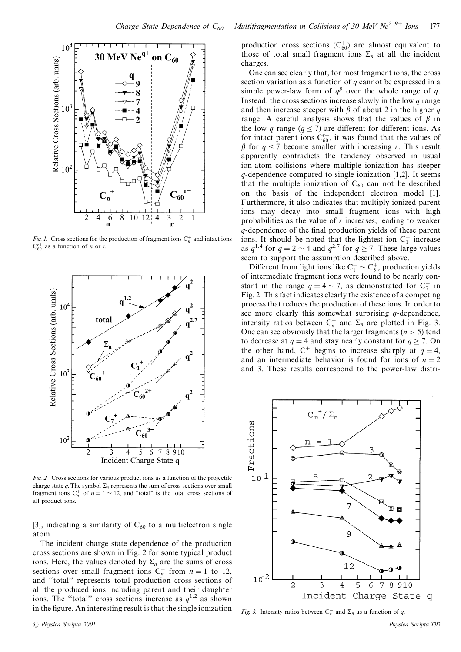

Fig. 1. Cross sections for the production of fragment ions  $C_n^+$  and intact ions  $C_{60}^{r+}$  as a function of *n* or *r*.



Fig. 2. Cross sections for various product ions as a function of the projectile charge state q. The symbol  $\Sigma_n$  represents the sum of cross sections over small fragment ions  $C_n^+$  of  $n = 1 \sim 12$ , and "total" is the total cross sections of all product ions.

[3], indicating a similarity of  $C_{60}$  to a multielectron single atom.

The incident charge state dependence of the production cross sections are shown in Fig. 2 for some typical product ions. Here, the values denoted by  $\Sigma_n$  are the sums of cross sections over small fragment ions  $C_n^+$  from  $n = 1$  to 12, and "total" represents total production cross sections of all the produced ions including parent and their daughter ions. The "total" cross sections increase as  $q^{1.2}$  as shown in the figure. An interesting result is that the single ionization production cross sections  $(C_{60}^+)$  are almost equivalent to those of total small fragment ions  $\Sigma_n$  at all the incident charges.

One can see clearly that, for most fragment ions, the cross section variation as a function of  $q$  cannot be expressed in a simple power-law form of  $q^{\beta}$  over the whole range of q. Instead, the cross sections increase slowly in the low  $q$  range and then increase steeper with  $\beta$  of about 2 in the higher q range. A careful analysis shows that the values of  $\beta$  in the low q range  $(q \le 7)$  are different for different ions. As for intact parent ions  $C_{60}^{r+}$ , it was found that the values of  $\beta$  for  $q \le 7$  become smaller with increasing r. This result apparently contradicts the tendency observed in usual ion-atom collisions where multiple ionization has steeper  $q$ -dependence compared to single ionization [1,2]. It seems that the multiple ionization of  $C_{60}$  can not be described on the basis of the independent electron model [1]. Furthermore, it also indicates that multiply ionized parent ions may decay into small fragment ions with high probabilities as the value of  $r$  increases, leading to weaker q-dependence of the final production yields of these parent ions. It should be noted that the lightest ion  $C_1^+$  increase as  $q^{1.4}$  for  $q = 2 \sim 4$  and  $q^{2.7}$  for  $q \ge 7$ . These large values seem to support the assumption described above.

Different from light ions like  $C_1^+ \sim C_3^+$ , production yields of intermediate fragment ions were found to be nearly constant in the range  $q = 4 \sim 7$ , as demonstrated for  $C_7^+$  in Fig. 2. This fact indicates clearly the existence of a competing process that reduces the production of these ions. In order to see more clearly this somewhat surprising  $q$ -dependence, intensity ratios between  $C_n^+$  and  $\Sigma_n$  are plotted in Fig. 3. One can see obviously that the larger fragments ( $n > 5$ ) tend to decrease at  $q = 4$  and stay nearly constant for  $q \ge 7$ . On the other hand,  $C_1^+$  begins to increase sharply at  $q = 4$ , and an intermediate behavior is found for ions of  $n = 2$ and 3. These results correspond to the power-law distri-



Fig. 3. Intensity ratios between  $C_n^+$  and  $\Sigma_n$  as a function of q.